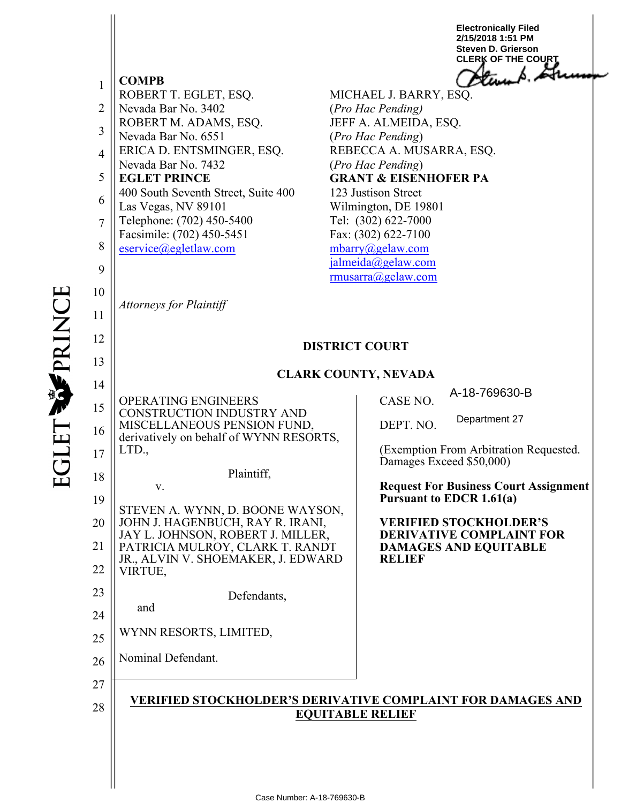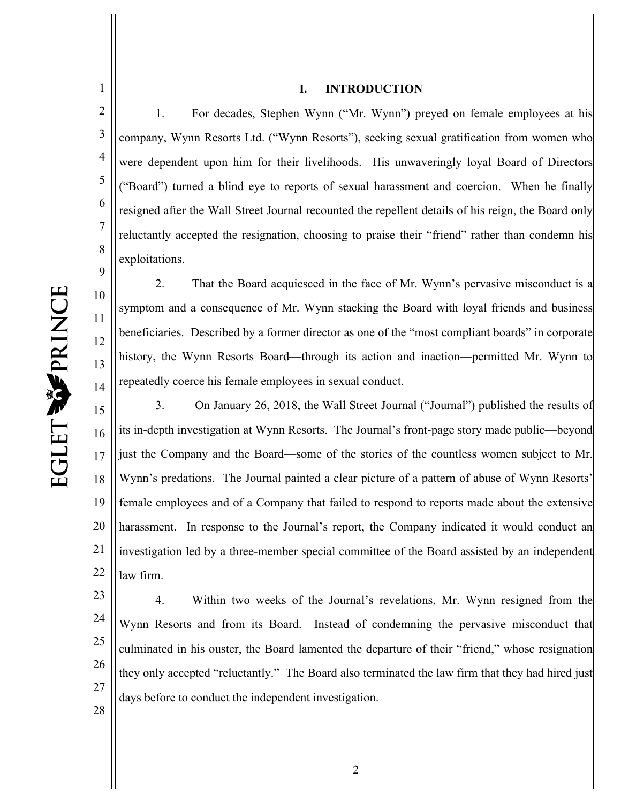5

6

7

8

10

11

12

13

14

#### **I. INTRODUCTION**

2 3 4 9 1. For decades, Stephen Wynn ("Mr. Wynn") preyed on female employees at his company, Wynn Resorts Ltd. ("Wynn Resorts"), seeking sexual gratification from women who were dependent upon him for their livelihoods. His unwaveringly loyal Board of Directors ("Board") turned a blind eye to reports of sexual harassment and coercion. When he finally resigned after the Wall Street Journal recounted the repellent details of his reign, the Board only reluctantly accepted the resignation, choosing to praise their "friend" rather than condemn his exploitations.

2. That the Board acquiesced in the face of Mr. Wynn's pervasive misconduct is a symptom and a consequence of Mr. Wynn stacking the Board with loyal friends and business beneficiaries. Described by a former director as one of the "most compliant boards" in corporate history, the Wynn Resorts Board—through its action and inaction—permitted Mr. Wynn to repeatedly coerce his female employees in sexual conduct.

15 16 17 18 19 20 21 22 3. On January 26, 2018, the Wall Street Journal ("Journal") published the results of its in-depth investigation at Wynn Resorts. The Journal's front-page story made public—beyond just the Company and the Board—some of the stories of the countless women subject to Mr. Wynn's predations. The Journal painted a clear picture of a pattern of abuse of Wynn Resorts' female employees and of a Company that failed to respond to reports made about the extensive harassment. In response to the Journal's report, the Company indicated it would conduct an investigation led by a three-member special committee of the Board assisted by an independent law firm.

23 24 25 26 27 28 4. Within two weeks of the Journal's revelations, Mr. Wynn resigned from the Wynn Resorts and from its Board. Instead of condemning the pervasive misconduct that culminated in his ouster, the Board lamented the departure of their "friend," whose resignation they only accepted "reluctantly." The Board also terminated the law firm that they had hired just days before to conduct the independent investigation.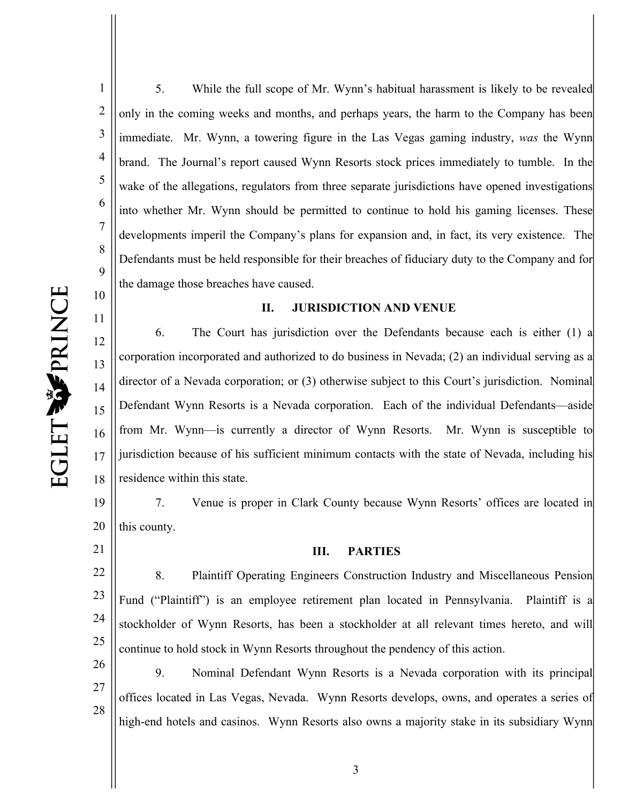11

15

16

17

21

1 2 3 4 5 6 7 8 9 5. While the full scope of Mr. Wynn's habitual harassment is likely to be revealed only in the coming weeks and months, and perhaps years, the harm to the Company has been immediate. Mr. Wynn, a towering figure in the Las Vegas gaming industry, *was* the Wynn brand. The Journal's report caused Wynn Resorts stock prices immediately to tumble. In the wake of the allegations, regulators from three separate jurisdictions have opened investigations into whether Mr. Wynn should be permitted to continue to hold his gaming licenses. These developments imperil the Company's plans for expansion and, in fact, its very existence. The Defendants must be held responsible for their breaches of fiduciary duty to the Company and for the damage those breaches have caused.

#### **II. JURISDICTION AND VENUE**

12 13 14 18 6. The Court has jurisdiction over the Defendants because each is either (1) a corporation incorporated and authorized to do business in Nevada; (2) an individual serving as a director of a Nevada corporation; or (3) otherwise subject to this Court's jurisdiction. Nominal Defendant Wynn Resorts is a Nevada corporation. Each of the individual Defendants—aside from Mr. Wynn—is currently a director of Wynn Resorts. Mr. Wynn is susceptible to jurisdiction because of his sufficient minimum contacts with the state of Nevada, including his residence within this state.

19 20 7. Venue is proper in Clark County because Wynn Resorts' offices are located in this county.

#### **III. PARTIES**

22 23 24 25 8. Plaintiff Operating Engineers Construction Industry and Miscellaneous Pension Fund ("Plaintiff") is an employee retirement plan located in Pennsylvania. Plaintiff is a stockholder of Wynn Resorts, has been a stockholder at all relevant times hereto, and will continue to hold stock in Wynn Resorts throughout the pendency of this action.

26 27 28 9. Nominal Defendant Wynn Resorts is a Nevada corporation with its principal offices located in Las Vegas, Nevada. Wynn Resorts develops, owns, and operates a series of high-end hotels and casinos. Wynn Resorts also owns a majority stake in its subsidiary Wynn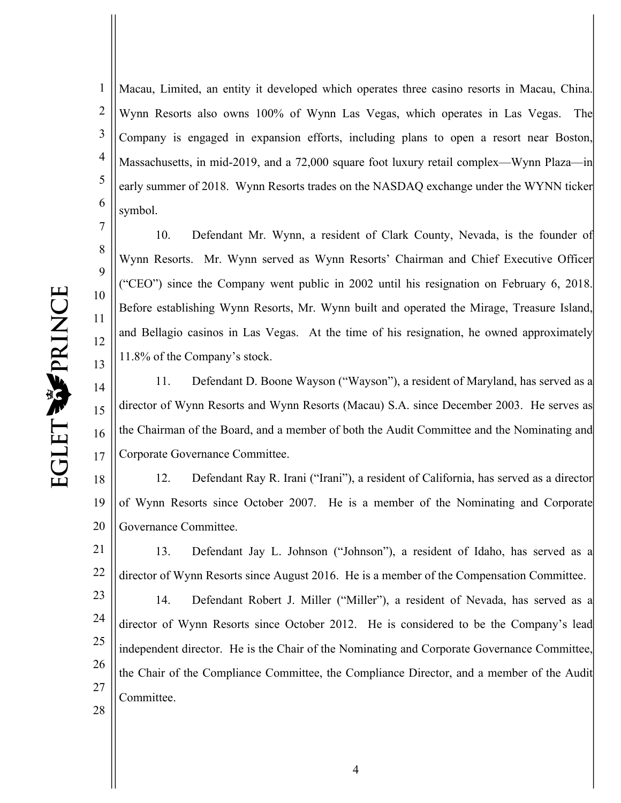8

9

10

11

12

13

1 2 3 4 5 6 Macau, Limited, an entity it developed which operates three casino resorts in Macau, China. Wynn Resorts also owns 100% of Wynn Las Vegas, which operates in Las Vegas. The Company is engaged in expansion efforts, including plans to open a resort near Boston, Massachusetts, in mid-2019, and a 72,000 square foot luxury retail complex—Wynn Plaza—in early summer of 2018. Wynn Resorts trades on the NASDAQ exchange under the WYNN ticker symbol.

10. Defendant Mr. Wynn, a resident of Clark County, Nevada, is the founder of Wynn Resorts. Mr. Wynn served as Wynn Resorts' Chairman and Chief Executive Officer ("CEO") since the Company went public in 2002 until his resignation on February 6, 2018. Before establishing Wynn Resorts, Mr. Wynn built and operated the Mirage, Treasure Island, and Bellagio casinos in Las Vegas. At the time of his resignation, he owned approximately 11.8% of the Company's stock.

14 15 16 17 11. Defendant D. Boone Wayson ("Wayson"), a resident of Maryland, has served as a director of Wynn Resorts and Wynn Resorts (Macau) S.A. since December 2003. He serves as the Chairman of the Board, and a member of both the Audit Committee and the Nominating and Corporate Governance Committee.

18 19 20 12. Defendant Ray R. Irani ("Irani"), a resident of California, has served as a director of Wynn Resorts since October 2007. He is a member of the Nominating and Corporate Governance Committee.

21 22 13. Defendant Jay L. Johnson ("Johnson"), a resident of Idaho, has served as a director of Wynn Resorts since August 2016. He is a member of the Compensation Committee.

23 24 25 26 27 14. Defendant Robert J. Miller ("Miller"), a resident of Nevada, has served as a director of Wynn Resorts since October 2012. He is considered to be the Company's lead independent director. He is the Chair of the Nominating and Corporate Governance Committee, the Chair of the Compliance Committee, the Compliance Director, and a member of the Audit Committee.

28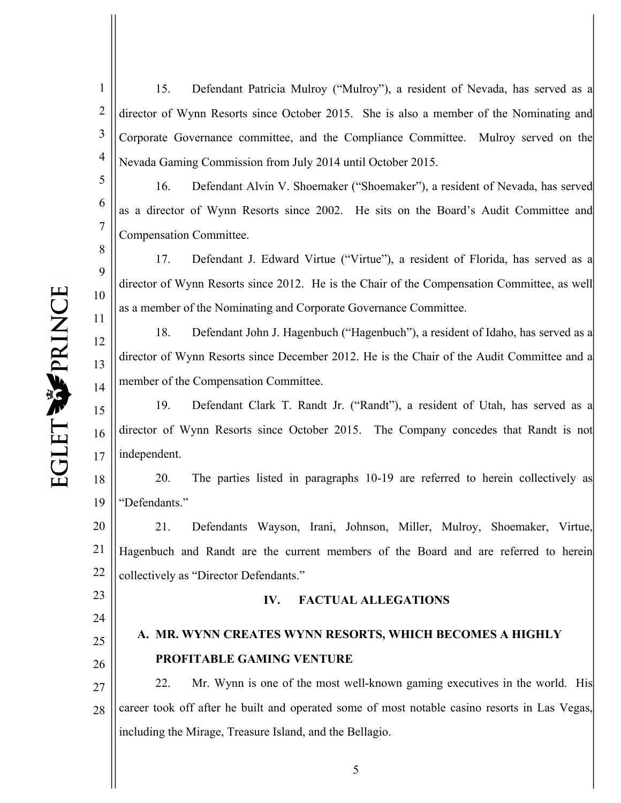6

7

8

9

10

11

12

13

14

1 2 3 4 15. Defendant Patricia Mulroy ("Mulroy"), a resident of Nevada, has served as a director of Wynn Resorts since October 2015. She is also a member of the Nominating and Corporate Governance committee, and the Compliance Committee. Mulroy served on the Nevada Gaming Commission from July 2014 until October 2015.

16. Defendant Alvin V. Shoemaker ("Shoemaker"), a resident of Nevada, has served as a director of Wynn Resorts since 2002. He sits on the Board's Audit Committee and Compensation Committee.

17. Defendant J. Edward Virtue ("Virtue"), a resident of Florida, has served as a director of Wynn Resorts since 2012. He is the Chair of the Compensation Committee, as well as a member of the Nominating and Corporate Governance Committee.

18. Defendant John J. Hagenbuch ("Hagenbuch"), a resident of Idaho, has served as a director of Wynn Resorts since December 2012. He is the Chair of the Audit Committee and a member of the Compensation Committee.

15 16 17 19. Defendant Clark T. Randt Jr. ("Randt"), a resident of Utah, has served as a director of Wynn Resorts since October 2015. The Company concedes that Randt is not independent.

18 19 20. The parties listed in paragraphs 10-19 are referred to herein collectively as "Defendants."

20 21 22 21. Defendants Wayson, Irani, Johnson, Miller, Mulroy, Shoemaker, Virtue, Hagenbuch and Randt are the current members of the Board and are referred to herein collectively as "Director Defendants."

23 24

# 25

26

### **IV. FACTUAL ALLEGATIONS**

## **A. MR. WYNN CREATES WYNN RESORTS, WHICH BECOMES A HIGHLY PROFITABLE GAMING VENTURE**

27 28 22. Mr. Wynn is one of the most well-known gaming executives in the world. His career took off after he built and operated some of most notable casino resorts in Las Vegas, including the Mirage, Treasure Island, and the Bellagio.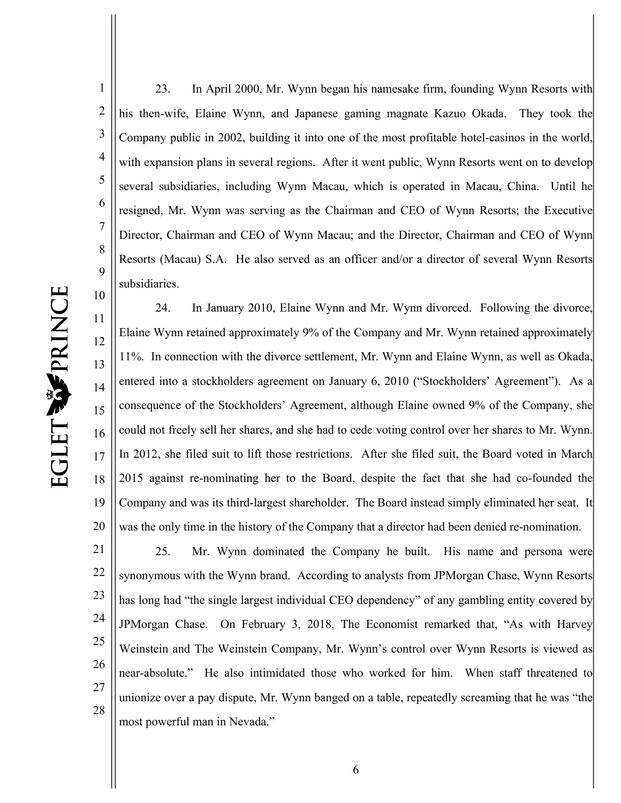10

1 2 3 4 5 6 7 8 9 23. In April 2000, Mr. Wynn began his namesake firm, founding Wynn Resorts with his then-wife, Elaine Wynn, and Japanese gaming magnate Kazuo Okada. They took the Company public in 2002, building it into one of the most profitable hotel-casinos in the world, with expansion plans in several regions. After it went public, Wynn Resorts went on to develop several subsidiaries, including Wynn Macau, which is operated in Macau, China. Until he resigned, Mr. Wynn was serving as the Chairman and CEO of Wynn Resorts; the Executive Director, Chairman and CEO of Wynn Macau; and the Director, Chairman and CEO of Wynn Resorts (Macau) S.A. He also served as an officer and/or a director of several Wynn Resorts subsidiaries.

11 12 13 14 15 16 17 18 19 20 24. In January 2010, Elaine Wynn and Mr. Wynn divorced. Following the divorce, Elaine Wynn retained approximately 9% of the Company and Mr. Wynn retained approximately 11%. In connection with the divorce settlement, Mr. Wynn and Elaine Wynn, as well as Okada, entered into a stockholders agreement on January 6, 2010 ("Stockholders' Agreement"). As a consequence of the Stockholders' Agreement, although Elaine owned 9% of the Company, she could not freely sell her shares, and she had to cede voting control over her shares to Mr. Wynn. In 2012, she filed suit to lift those restrictions. After she filed suit, the Board voted in March 2015 against re-nominating her to the Board, despite the fact that she had co-founded the Company and was its third-largest shareholder. The Board instead simply eliminated her seat. It was the only time in the history of the Company that a director had been denied re-nomination.

21 22 23 24 25 26 27 28 25. Mr. Wynn dominated the Company he built. His name and persona were synonymous with the Wynn brand. According to analysts from JPMorgan Chase, Wynn Resorts has long had "the single largest individual CEO dependency" of any gambling entity covered by JPMorgan Chase. On February 3, 2018, The Economist remarked that, "As with Harvey Weinstein and The Weinstein Company, Mr. Wynn's control over Wynn Resorts is viewed as near-absolute." He also intimidated those who worked for him. When staff threatened to unionize over a pay dispute, Mr. Wynn banged on a table, repeatedly screaming that he was "the most powerful man in Nevada."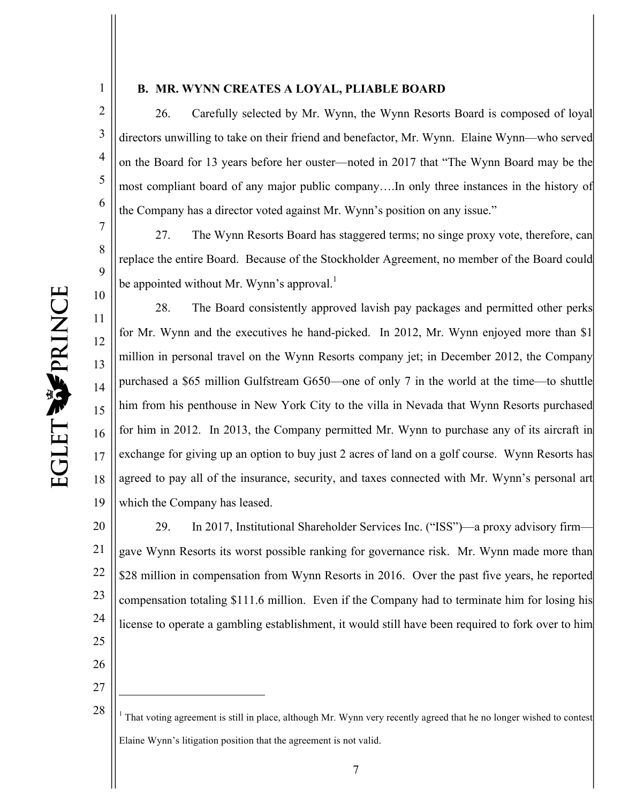1

7

8

9

10

26

27

1

#### **B. MR. WYNN CREATES A LOYAL, PLIABLE BOARD**

2 3 4 5 6 26. Carefully selected by Mr. Wynn, the Wynn Resorts Board is composed of loyal directors unwilling to take on their friend and benefactor, Mr. Wynn. Elaine Wynn—who served on the Board for 13 years before her ouster—noted in 2017 that "The Wynn Board may be the most compliant board of any major public company….In only three instances in the history of the Company has a director voted against Mr. Wynn's position on any issue."

27. The Wynn Resorts Board has staggered terms; no singe proxy vote, therefore, can replace the entire Board. Because of the Stockholder Agreement, no member of the Board could be appointed without Mr. Wynn's approval.<sup>1</sup>

11 12 13 14 15 16 17 18 19 28. The Board consistently approved lavish pay packages and permitted other perks for Mr. Wynn and the executives he hand-picked. In 2012, Mr. Wynn enjoyed more than \$1 million in personal travel on the Wynn Resorts company jet; in December 2012, the Company purchased a \$65 million Gulfstream G650—one of only 7 in the world at the time—to shuttle him from his penthouse in New York City to the villa in Nevada that Wynn Resorts purchased for him in 2012. In 2013, the Company permitted Mr. Wynn to purchase any of its aircraft in exchange for giving up an option to buy just 2 acres of land on a golf course. Wynn Resorts has agreed to pay all of the insurance, security, and taxes connected with Mr. Wynn's personal art which the Company has leased.

20 21 22 23 24 25 29. In 2017, Institutional Shareholder Services Inc. ("ISS")—a proxy advisory firm gave Wynn Resorts its worst possible ranking for governance risk. Mr. Wynn made more than \$28 million in compensation from Wynn Resorts in 2016. Over the past five years, he reported compensation totaling \$111.6 million. Even if the Company had to terminate him for losing his license to operate a gambling establishment, it would still have been required to fork over to him

<sup>28</sup> <sup>1</sup> That voting agreement is still in place, although Mr. Wynn very recently agreed that he no longer wished to contest Elaine Wynn's litigation position that the agreement is not valid.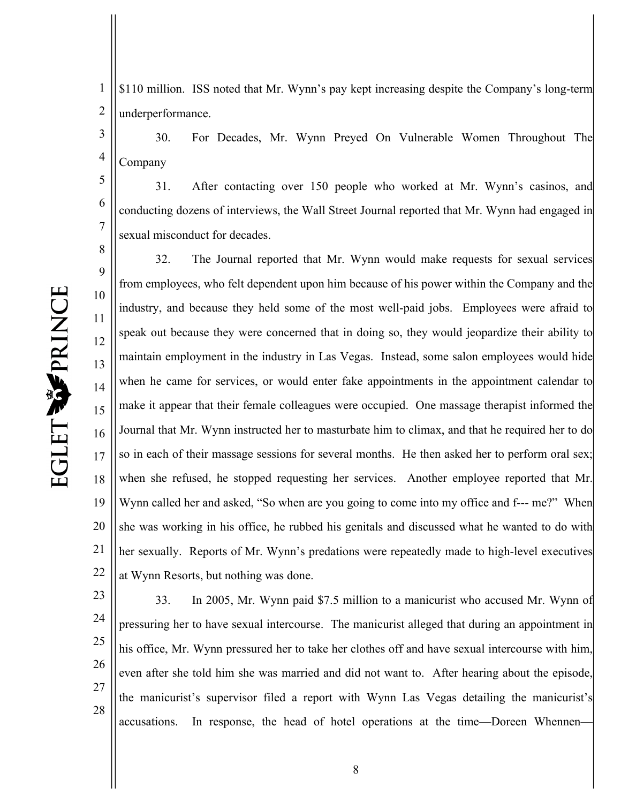5

6

7

1 2 \$110 million. ISS noted that Mr. Wynn's pay kept increasing despite the Company's long-term underperformance.

3 4 30. For Decades, Mr. Wynn Preyed On Vulnerable Women Throughout The Company

31. After contacting over 150 people who worked at Mr. Wynn's casinos, and conducting dozens of interviews, the Wall Street Journal reported that Mr. Wynn had engaged in sexual misconduct for decades.

8 9 10 11 12 13 14 15 16 17 18 19 20 21 22 32. The Journal reported that Mr. Wynn would make requests for sexual services from employees, who felt dependent upon him because of his power within the Company and the industry, and because they held some of the most well-paid jobs. Employees were afraid to speak out because they were concerned that in doing so, they would jeopardize their ability to maintain employment in the industry in Las Vegas. Instead, some salon employees would hide when he came for services, or would enter fake appointments in the appointment calendar to make it appear that their female colleagues were occupied. One massage therapist informed the Journal that Mr. Wynn instructed her to masturbate him to climax, and that he required her to do so in each of their massage sessions for several months. He then asked her to perform oral sex; when she refused, he stopped requesting her services. Another employee reported that Mr. Wynn called her and asked, "So when are you going to come into my office and f--- me?" When she was working in his office, he rubbed his genitals and discussed what he wanted to do with her sexually. Reports of Mr. Wynn's predations were repeatedly made to high-level executives at Wynn Resorts, but nothing was done.

23 24 25 26 27 28 33. In 2005, Mr. Wynn paid \$7.5 million to a manicurist who accused Mr. Wynn of pressuring her to have sexual intercourse. The manicurist alleged that during an appointment in his office, Mr. Wynn pressured her to take her clothes off and have sexual intercourse with him, even after she told him she was married and did not want to. After hearing about the episode, the manicurist's supervisor filed a report with Wynn Las Vegas detailing the manicurist's accusations. In response, the head of hotel operations at the time—Doreen Whennen—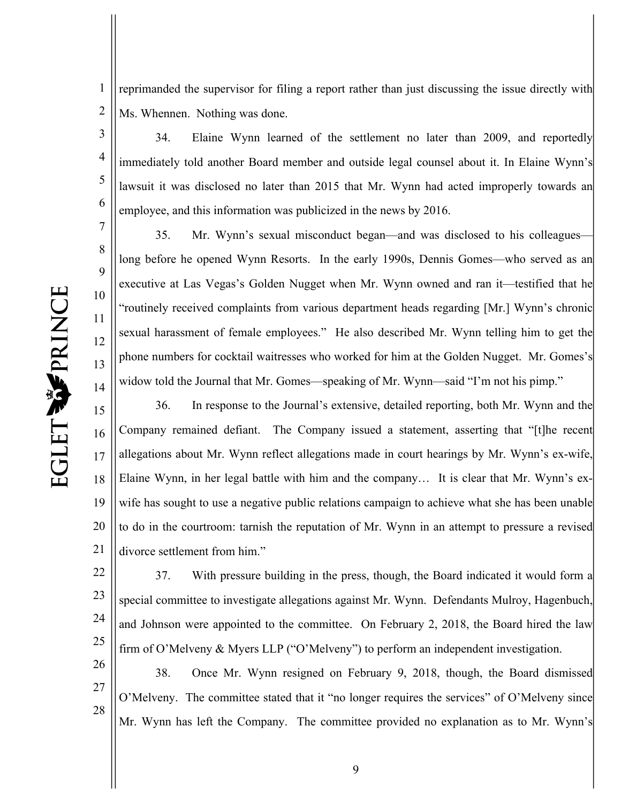7

8

9

10

11

12

13

14

26

27

28

1 2 reprimanded the supervisor for filing a report rather than just discussing the issue directly with Ms. Whennen. Nothing was done.

3 4 5 6 34. Elaine Wynn learned of the settlement no later than 2009, and reportedly immediately told another Board member and outside legal counsel about it. In Elaine Wynn's lawsuit it was disclosed no later than 2015 that Mr. Wynn had acted improperly towards an employee, and this information was publicized in the news by 2016.

35. Mr. Wynn's sexual misconduct began—and was disclosed to his colleagues long before he opened Wynn Resorts. In the early 1990s, Dennis Gomes—who served as an executive at Las Vegas's Golden Nugget when Mr. Wynn owned and ran it—testified that he "routinely received complaints from various department heads regarding [Mr.] Wynn's chronic sexual harassment of female employees." He also described Mr. Wynn telling him to get the phone numbers for cocktail waitresses who worked for him at the Golden Nugget. Mr. Gomes's widow told the Journal that Mr. Gomes—speaking of Mr. Wynn—said "I'm not his pimp."

15 16 17 18 19 20 21 36. In response to the Journal's extensive, detailed reporting, both Mr. Wynn and the Company remained defiant. The Company issued a statement, asserting that "[t]he recent allegations about Mr. Wynn reflect allegations made in court hearings by Mr. Wynn's ex-wife, Elaine Wynn, in her legal battle with him and the company… It is clear that Mr. Wynn's exwife has sought to use a negative public relations campaign to achieve what she has been unable to do in the courtroom: tarnish the reputation of Mr. Wynn in an attempt to pressure a revised divorce settlement from him."

22 23 24 25 37. With pressure building in the press, though, the Board indicated it would form a special committee to investigate allegations against Mr. Wynn. Defendants Mulroy, Hagenbuch, and Johnson were appointed to the committee. On February 2, 2018, the Board hired the law firm of O'Melveny & Myers LLP ("O'Melveny") to perform an independent investigation.

38. Once Mr. Wynn resigned on February 9, 2018, though, the Board dismissed O'Melveny. The committee stated that it "no longer requires the services" of O'Melveny since Mr. Wynn has left the Company. The committee provided no explanation as to Mr. Wynn's

9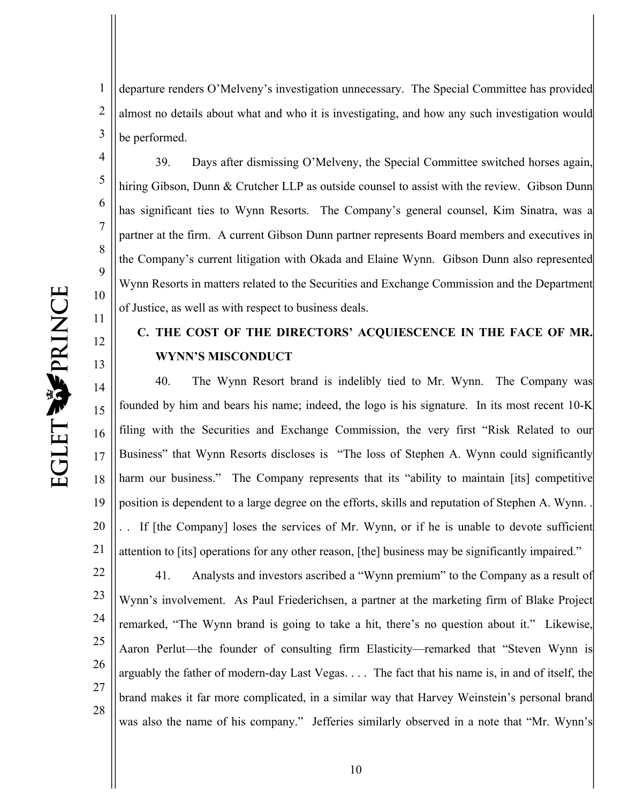5

6

7

8

9

11

12

13

1 2 3 departure renders O'Melveny's investigation unnecessary. The Special Committee has provided almost no details about what and who it is investigating, and how any such investigation would be performed.

10 39. Days after dismissing O'Melveny, the Special Committee switched horses again, hiring Gibson, Dunn & Crutcher LLP as outside counsel to assist with the review. Gibson Dunn has significant ties to Wynn Resorts. The Company's general counsel, Kim Sinatra, was a partner at the firm. A current Gibson Dunn partner represents Board members and executives in the Company's current litigation with Okada and Elaine Wynn. Gibson Dunn also represented Wynn Resorts in matters related to the Securities and Exchange Commission and the Department of Justice, as well as with respect to business deals.

### **C. THE COST OF THE DIRECTORS' ACQUIESCENCE IN THE FACE OF MR. WYNN'S MISCONDUCT**

14 15 16 17 18 19 20 21 40. The Wynn Resort brand is indelibly tied to Mr. Wynn. The Company was founded by him and bears his name; indeed, the logo is his signature. In its most recent 10-K filing with the Securities and Exchange Commission, the very first "Risk Related to our Business" that Wynn Resorts discloses is "The loss of Stephen A. Wynn could significantly harm our business." The Company represents that its "ability to maintain [its] competitive position is dependent to a large degree on the efforts, skills and reputation of Stephen A. Wynn. . . . If [the Company] loses the services of Mr. Wynn, or if he is unable to devote sufficient attention to [its] operations for any other reason, [the] business may be significantly impaired."

22 23 24 25 26 27 28 41. Analysts and investors ascribed a "Wynn premium" to the Company as a result of Wynn's involvement. As Paul Friederichsen, a partner at the marketing firm of Blake Project remarked, "The Wynn brand is going to take a hit, there's no question about it." Likewise, Aaron Perlut—the founder of consulting firm Elasticity—remarked that "Steven Wynn is arguably the father of modern-day Last Vegas. . . . The fact that his name is, in and of itself, the brand makes it far more complicated, in a similar way that Harvey Weinstein's personal brand was also the name of his company." Jefferies similarly observed in a note that "Mr. Wynn's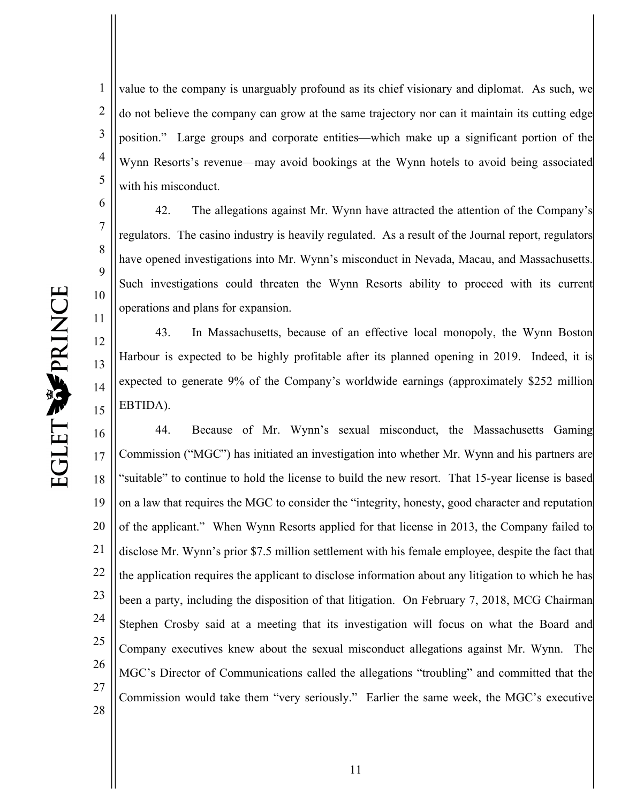7

8

9

10

11

12

13

14

15

1 2 3 4 5 value to the company is unarguably profound as its chief visionary and diplomat. As such, we do not believe the company can grow at the same trajectory nor can it maintain its cutting edge position." Large groups and corporate entities—which make up a significant portion of the Wynn Resorts's revenue—may avoid bookings at the Wynn hotels to avoid being associated with his misconduct.

42. The allegations against Mr. Wynn have attracted the attention of the Company's regulators. The casino industry is heavily regulated. As a result of the Journal report, regulators have opened investigations into Mr. Wynn's misconduct in Nevada, Macau, and Massachusetts. Such investigations could threaten the Wynn Resorts ability to proceed with its current operations and plans for expansion.

43. In Massachusetts, because of an effective local monopoly, the Wynn Boston Harbour is expected to be highly profitable after its planned opening in 2019. Indeed, it is expected to generate 9% of the Company's worldwide earnings (approximately \$252 million EBTIDA).

16 17 18 19 20 21 22 23 24 25 26 27 28 44. Because of Mr. Wynn's sexual misconduct, the Massachusetts Gaming Commission ("MGC") has initiated an investigation into whether Mr. Wynn and his partners are "suitable" to continue to hold the license to build the new resort. That 15-year license is based on a law that requires the MGC to consider the "integrity, honesty, good character and reputation of the applicant." When Wynn Resorts applied for that license in 2013, the Company failed to disclose Mr. Wynn's prior \$7.5 million settlement with his female employee, despite the fact that the application requires the applicant to disclose information about any litigation to which he has been a party, including the disposition of that litigation. On February 7, 2018, MCG Chairman Stephen Crosby said at a meeting that its investigation will focus on what the Board and Company executives knew about the sexual misconduct allegations against Mr. Wynn. The MGC's Director of Communications called the allegations "troubling" and committed that the Commission would take them "very seriously." Earlier the same week, the MGC's executive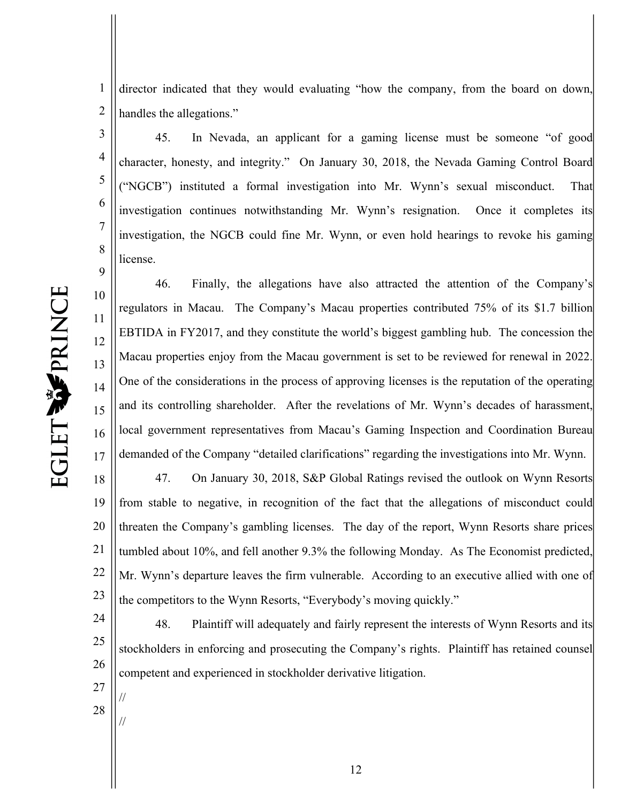director indicated that they would evaluating "how the company, from the board on down, handles the allegations."

45. In Nevada, an applicant for a gaming license must be someone "of good character, honesty, and integrity." On January 30, 2018, the Nevada Gaming Control Board ("NGCB") instituted a formal investigation into Mr. Wynn's sexual misconduct. That investigation continues notwithstanding Mr. Wynn's resignation. Once it completes its investigation, the NGCB could fine Mr. Wynn, or even hold hearings to revoke his gaming license.

46. Finally, the allegations have also attracted the attention of the Company's regulators in Macau. The Company's Macau properties contributed 75% of its \$1.7 billion EBTIDA in FY2017, and they constitute the world's biggest gambling hub. The concession the Macau properties enjoy from the Macau government is set to be reviewed for renewal in 2022. One of the considerations in the process of approving licenses is the reputation of the operating and its controlling shareholder. After the revelations of Mr. Wynn's decades of harassment, local government representatives from Macau's Gaming Inspection and Coordination Bureau demanded of the Company "detailed clarifications" regarding the investigations into Mr. Wynn.

18 19 20 21 22 23 47. On January 30, 2018, S&P Global Ratings revised the outlook on Wynn Resorts from stable to negative, in recognition of the fact that the allegations of misconduct could threaten the Company's gambling licenses. The day of the report, Wynn Resorts share prices tumbled about 10%, and fell another 9.3% the following Monday. As The Economist predicted, Mr. Wynn's departure leaves the firm vulnerable. According to an executive allied with one of the competitors to the Wynn Resorts, "Everybody's moving quickly."

24 25 26 27 48. Plaintiff will adequately and fairly represent the interests of Wynn Resorts and its stockholders in enforcing and prosecuting the Company's rights. Plaintiff has retained counsel competent and experienced in stockholder derivative litigation.

1

2

3

4

5

6

7

8

9

10

11

12

13

14

15

16

17

28

//

//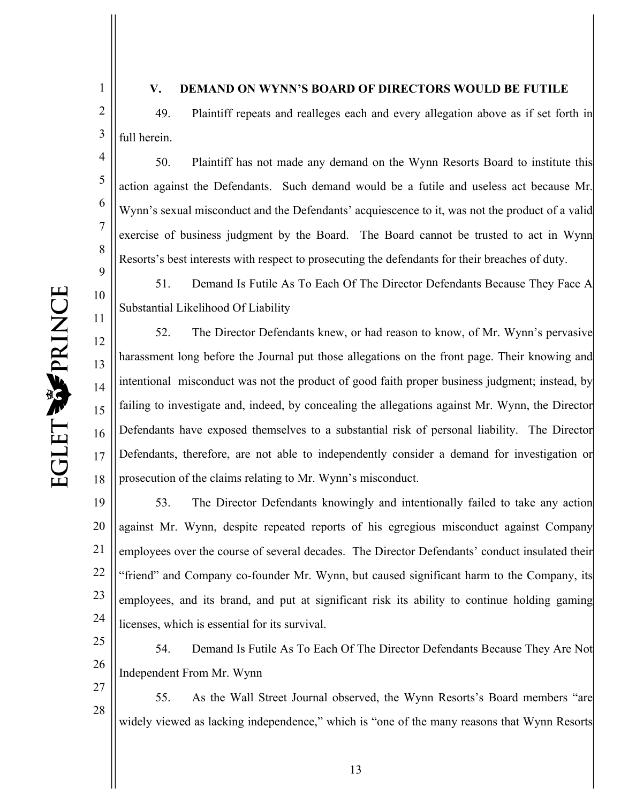1

2

3

4

5

6

7

8

9

10

11

27

28

#### **V. DEMAND ON WYNN'S BOARD OF DIRECTORS WOULD BE FUTILE**

49. Plaintiff repeats and realleges each and every allegation above as if set forth in full herein.

50. Plaintiff has not made any demand on the Wynn Resorts Board to institute this action against the Defendants. Such demand would be a futile and useless act because Mr. Wynn's sexual misconduct and the Defendants' acquiescence to it, was not the product of a valid exercise of business judgment by the Board. The Board cannot be trusted to act in Wynn Resorts's best interests with respect to prosecuting the defendants for their breaches of duty.

51. Demand Is Futile As To Each Of The Director Defendants Because They Face A Substantial Likelihood Of Liability

12 13 14 15 16 17 18 52. The Director Defendants knew, or had reason to know, of Mr. Wynn's pervasive harassment long before the Journal put those allegations on the front page. Their knowing and intentional misconduct was not the product of good faith proper business judgment; instead, by failing to investigate and, indeed, by concealing the allegations against Mr. Wynn, the Director Defendants have exposed themselves to a substantial risk of personal liability. The Director Defendants, therefore, are not able to independently consider a demand for investigation or prosecution of the claims relating to Mr. Wynn's misconduct.

19 20 21 22 23 24 53. The Director Defendants knowingly and intentionally failed to take any action against Mr. Wynn, despite repeated reports of his egregious misconduct against Company employees over the course of several decades. The Director Defendants' conduct insulated their "friend" and Company co-founder Mr. Wynn, but caused significant harm to the Company, its employees, and its brand, and put at significant risk its ability to continue holding gaming licenses, which is essential for its survival.

25 26 54. Demand Is Futile As To Each Of The Director Defendants Because They Are Not Independent From Mr. Wynn

55. As the Wall Street Journal observed, the Wynn Resorts's Board members "are widely viewed as lacking independence," which is "one of the many reasons that Wynn Resorts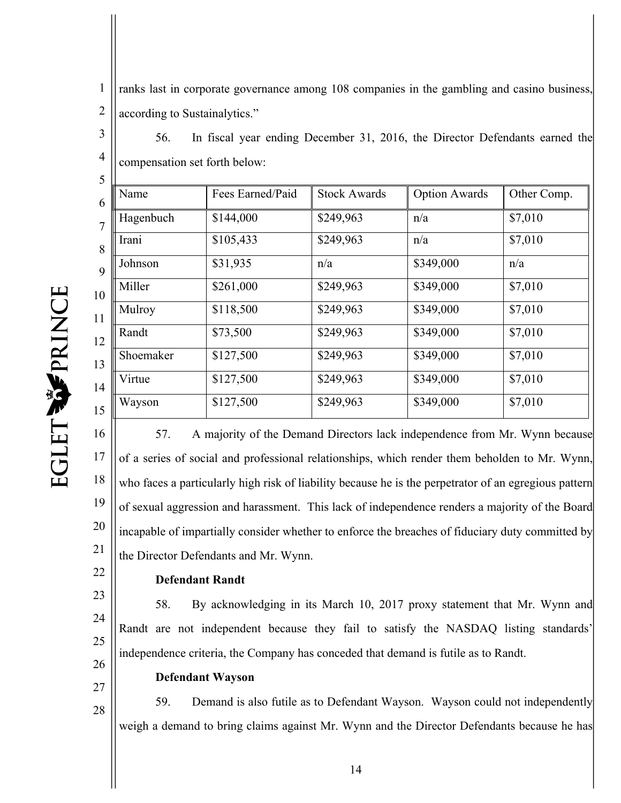1 2 ranks last in corporate governance among 108 companies in the gambling and casino business, according to Sustainalytics."

3 4 56. In fiscal year ending December 31, 2016, the Director Defendants earned the compensation set forth below:

| Name      | Fees Earned/Paid | <b>Stock Awards</b> | <b>Option Awards</b> | Other Comp. |
|-----------|------------------|---------------------|----------------------|-------------|
| Hagenbuch | \$144,000        | \$249,963           | n/a                  | \$7,010     |
| Irani     | \$105,433        | \$249,963           | n/a                  | \$7,010     |
| Johnson   | \$31,935         | n/a                 | \$349,000            | n/a         |
| Miller    | \$261,000        | \$249,963           | \$349,000            | \$7,010     |
| Mulroy    | \$118,500        | \$249,963           | \$349,000            | \$7,010     |
| Randt     | \$73,500         | \$249,963           | \$349,000            | \$7,010     |
| Shoemaker | \$127,500        | \$249,963           | \$349,000            | \$7,010     |
| Virtue    | \$127,500        | \$249,963           | \$349,000            | \$7,010     |
| Wayson    | \$127,500        | \$249,963           | \$349,000            | \$7,010     |
|           |                  |                     |                      |             |

EGLET WPRINCE

 $\zeta$ 

16 17 18 19 20 21 57. A majority of the Demand Directors lack independence from Mr. Wynn because of a series of social and professional relationships, which render them beholden to Mr. Wynn, who faces a particularly high risk of liability because he is the perpetrator of an egregious pattern of sexual aggression and harassment. This lack of independence renders a majority of the Board incapable of impartially consider whether to enforce the breaches of fiduciary duty committed by the Director Defendants and Mr. Wynn.

#### **Defendant Randt**

23 24 25 26 58. By acknowledging in its March 10, 2017 proxy statement that Mr. Wynn and Randt are not independent because they fail to satisfy the NASDAQ listing standards' independence criteria, the Company has conceded that demand is futile as to Randt.

27

28

22

**Defendant Wayson**

59. Demand is also futile as to Defendant Wayson. Wayson could not independently weigh a demand to bring claims against Mr. Wynn and the Director Defendants because he has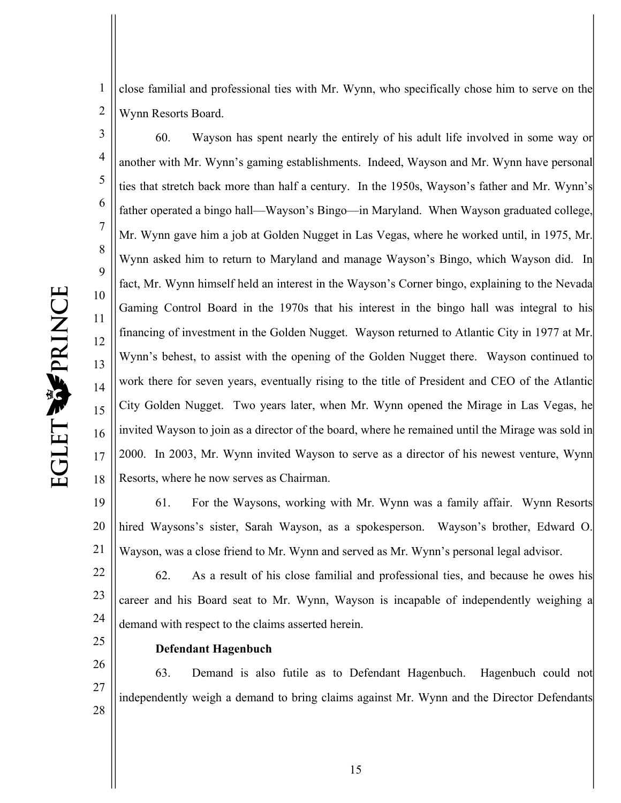1 2 close familial and professional ties with Mr. Wynn, who specifically chose him to serve on the Wynn Resorts Board.

3 4 5 6 7 8 9 10 11 12 13 14 15 16 17 18 60. Wayson has spent nearly the entirely of his adult life involved in some way or another with Mr. Wynn's gaming establishments. Indeed, Wayson and Mr. Wynn have personal ties that stretch back more than half a century. In the 1950s, Wayson's father and Mr. Wynn's father operated a bingo hall—Wayson's Bingo—in Maryland. When Wayson graduated college, Mr. Wynn gave him a job at Golden Nugget in Las Vegas, where he worked until, in 1975, Mr. Wynn asked him to return to Maryland and manage Wayson's Bingo, which Wayson did. In fact, Mr. Wynn himself held an interest in the Wayson's Corner bingo, explaining to the Nevada Gaming Control Board in the 1970s that his interest in the bingo hall was integral to his financing of investment in the Golden Nugget. Wayson returned to Atlantic City in 1977 at Mr. Wynn's behest, to assist with the opening of the Golden Nugget there. Wayson continued to work there for seven years, eventually rising to the title of President and CEO of the Atlantic City Golden Nugget. Two years later, when Mr. Wynn opened the Mirage in Las Vegas, he invited Wayson to join as a director of the board, where he remained until the Mirage was sold in 2000. In 2003, Mr. Wynn invited Wayson to serve as a director of his newest venture, Wynn Resorts, where he now serves as Chairman.

19 20 21 61. For the Waysons, working with Mr. Wynn was a family affair. Wynn Resorts hired Waysons's sister, Sarah Wayson, as a spokesperson. Wayson's brother, Edward O. Wayson, was a close friend to Mr. Wynn and served as Mr. Wynn's personal legal advisor.

22 23 24 62. As a result of his close familial and professional ties, and because he owes his career and his Board seat to Mr. Wynn, Wayson is incapable of independently weighing a demand with respect to the claims asserted herein.

25

#### **Defendant Hagenbuch**

26 27 28 63. Demand is also futile as to Defendant Hagenbuch. Hagenbuch could not independently weigh a demand to bring claims against Mr. Wynn and the Director Defendants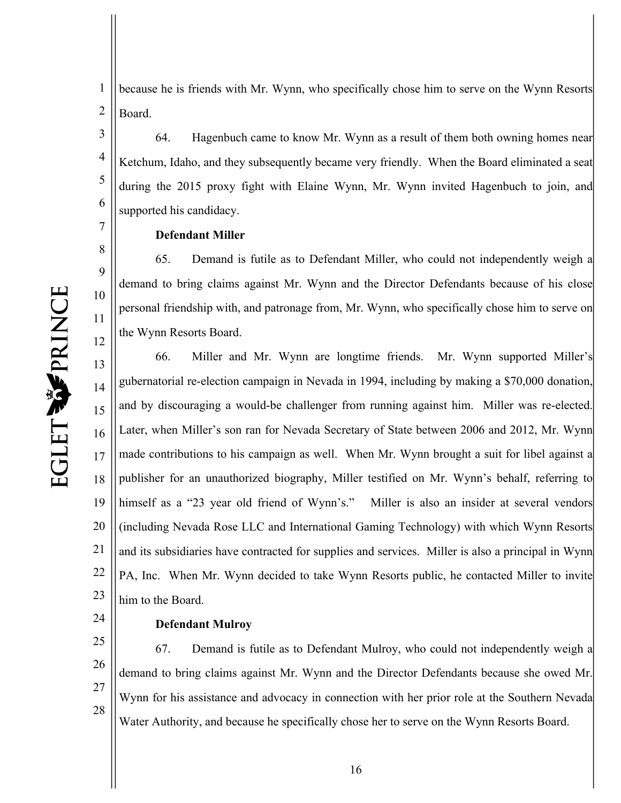4

5

6

7

8

9

10

11

12

1 2 because he is friends with Mr. Wynn, who specifically chose him to serve on the Wynn Resorts Board.

64. Hagenbuch came to know Mr. Wynn as a result of them both owning homes near Ketchum, Idaho, and they subsequently became very friendly. When the Board eliminated a seat during the 2015 proxy fight with Elaine Wynn, Mr. Wynn invited Hagenbuch to join, and supported his candidacy.

#### **Defendant Miller**

65. Demand is futile as to Defendant Miller, who could not independently weigh a demand to bring claims against Mr. Wynn and the Director Defendants because of his close personal friendship with, and patronage from, Mr. Wynn, who specifically chose him to serve on the Wynn Resorts Board.

13 14 15 16 17 18 19 20 21 22 23 66. Miller and Mr. Wynn are longtime friends. Mr. Wynn supported Miller's gubernatorial re-election campaign in Nevada in 1994, including by making a \$70,000 donation, and by discouraging a would-be challenger from running against him. Miller was re-elected. Later, when Miller's son ran for Nevada Secretary of State between 2006 and 2012, Mr. Wynn made contributions to his campaign as well. When Mr. Wynn brought a suit for libel against a publisher for an unauthorized biography, Miller testified on Mr. Wynn's behalf, referring to himself as a "23 year old friend of Wynn's." Miller is also an insider at several vendors (including Nevada Rose LLC and International Gaming Technology) with which Wynn Resorts and its subsidiaries have contracted for supplies and services. Miller is also a principal in Wynn PA, Inc. When Mr. Wynn decided to take Wynn Resorts public, he contacted Miller to invite him to the Board.

24

#### **Defendant Mulroy**

25 26 27 28 67. Demand is futile as to Defendant Mulroy, who could not independently weigh a demand to bring claims against Mr. Wynn and the Director Defendants because she owed Mr. Wynn for his assistance and advocacy in connection with her prior role at the Southern Nevada Water Authority, and because he specifically chose her to serve on the Wynn Resorts Board.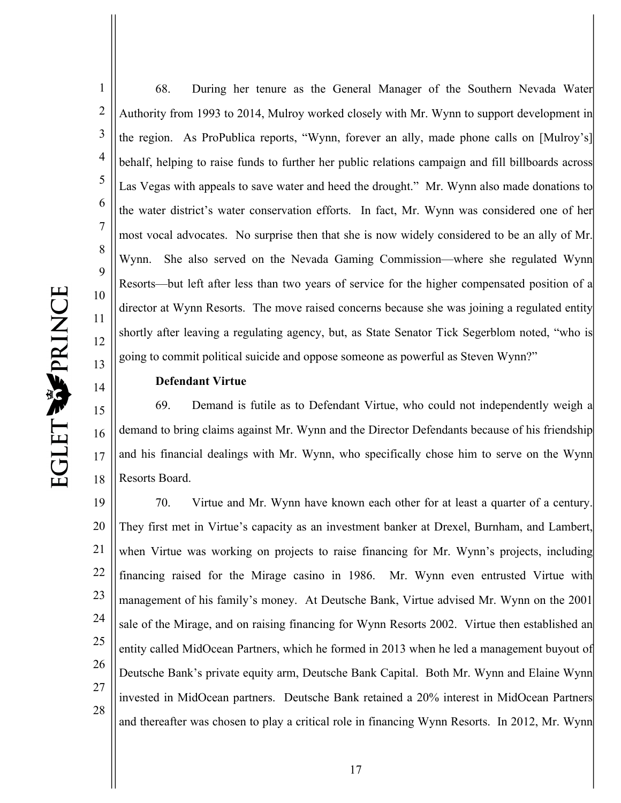1 2 3 4 5 6 7 8 9 10 11 12 13 68. During her tenure as the General Manager of the Southern Nevada Water Authority from 1993 to 2014, Mulroy worked closely with Mr. Wynn to support development in the region. As ProPublica reports, "Wynn, forever an ally, made phone calls on [Mulroy's] behalf, helping to raise funds to further her public relations campaign and fill billboards across Las Vegas with appeals to save water and heed the drought." Mr. Wynn also made donations to the water district's water conservation efforts. In fact, Mr. Wynn was considered one of her most vocal advocates. No surprise then that she is now widely considered to be an ally of Mr. Wynn. She also served on the Nevada Gaming Commission—where she regulated Wynn Resorts—but left after less than two years of service for the higher compensated position of a director at Wynn Resorts. The move raised concerns because she was joining a regulated entity shortly after leaving a regulating agency, but, as State Senator Tick Segerblom noted, "who is going to commit political suicide and oppose someone as powerful as Steven Wynn?"

#### **Defendant Virtue**

15 16 17 18 69. Demand is futile as to Defendant Virtue, who could not independently weigh a demand to bring claims against Mr. Wynn and the Director Defendants because of his friendship and his financial dealings with Mr. Wynn, who specifically chose him to serve on the Wynn Resorts Board.

19 20 21 22 23 24 25 26 27 28 70. Virtue and Mr. Wynn have known each other for at least a quarter of a century. They first met in Virtue's capacity as an investment banker at Drexel, Burnham, and Lambert, when Virtue was working on projects to raise financing for Mr. Wynn's projects, including financing raised for the Mirage casino in 1986. Mr. Wynn even entrusted Virtue with management of his family's money. At Deutsche Bank, Virtue advised Mr. Wynn on the 2001 sale of the Mirage, and on raising financing for Wynn Resorts 2002. Virtue then established an entity called MidOcean Partners, which he formed in 2013 when he led a management buyout of Deutsche Bank's private equity arm, Deutsche Bank Capital. Both Mr. Wynn and Elaine Wynn invested in MidOcean partners. Deutsche Bank retained a 20% interest in MidOcean Partners and thereafter was chosen to play a critical role in financing Wynn Resorts. In 2012, Mr. Wynn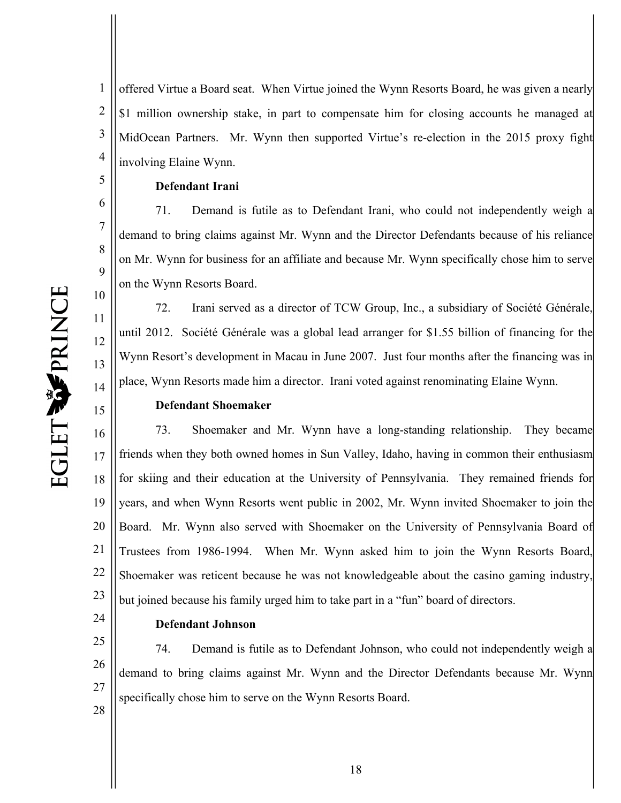1 2 3 4 offered Virtue a Board seat. When Virtue joined the Wynn Resorts Board, he was given a nearly \$1 million ownership stake, in part to compensate him for closing accounts he managed at MidOcean Partners. Mr. Wynn then supported Virtue's re-election in the 2015 proxy fight involving Elaine Wynn.

#### **Defendant Irani**

71. Demand is futile as to Defendant Irani, who could not independently weigh a demand to bring claims against Mr. Wynn and the Director Defendants because of his reliance on Mr. Wynn for business for an affiliate and because Mr. Wynn specifically chose him to serve on the Wynn Resorts Board.

72. Irani served as a director of TCW Group, Inc., a subsidiary of Société Générale, until 2012. Société Générale was a global lead arranger for \$1.55 billion of financing for the Wynn Resort's development in Macau in June 2007. Just four months after the financing was in place, Wynn Resorts made him a director. Irani voted against renominating Elaine Wynn.

#### **Defendant Shoemaker**

16 17 18 19 20 21 22 23 73. Shoemaker and Mr. Wynn have a long-standing relationship. They became friends when they both owned homes in Sun Valley, Idaho, having in common their enthusiasm for skiing and their education at the University of Pennsylvania. They remained friends for years, and when Wynn Resorts went public in 2002, Mr. Wynn invited Shoemaker to join the Board. Mr. Wynn also served with Shoemaker on the University of Pennsylvania Board of Trustees from 1986-1994. When Mr. Wynn asked him to join the Wynn Resorts Board, Shoemaker was reticent because he was not knowledgeable about the casino gaming industry, but joined because his family urged him to take part in a "fun" board of directors.

24

#### **Defendant Johnson**

25 26 27 28 74. Demand is futile as to Defendant Johnson, who could not independently weigh a demand to bring claims against Mr. Wynn and the Director Defendants because Mr. Wynn specifically chose him to serve on the Wynn Resorts Board.

5

6

7

8

9

10

11

12

13

14

15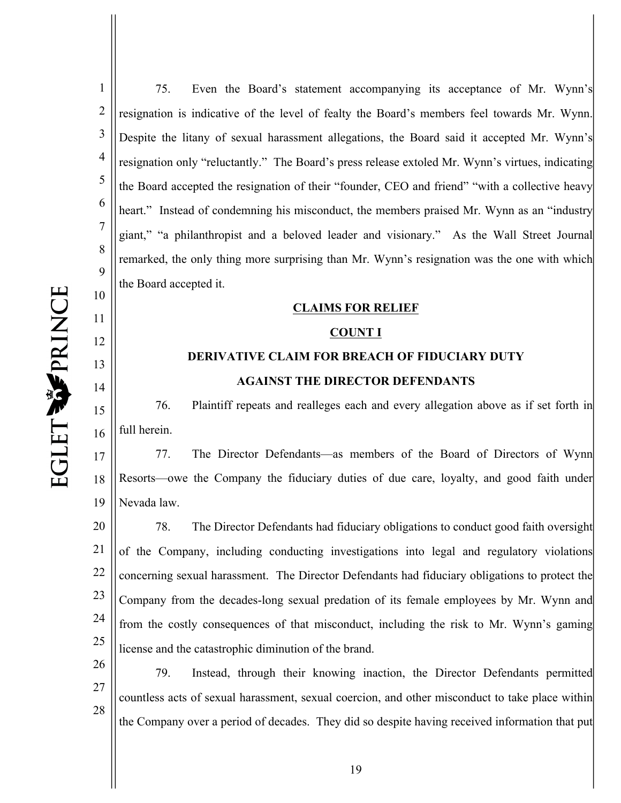11

12

13

14

15

16

1 2 3 4 5 6 7 8 9 75. Even the Board's statement accompanying its acceptance of Mr. Wynn's resignation is indicative of the level of fealty the Board's members feel towards Mr. Wynn. Despite the litany of sexual harassment allegations, the Board said it accepted Mr. Wynn's resignation only "reluctantly." The Board's press release extoled Mr. Wynn's virtues, indicating the Board accepted the resignation of their "founder, CEO and friend" "with a collective heavy heart." Instead of condemning his misconduct, the members praised Mr. Wynn as an "industry giant," "a philanthropist and a beloved leader and visionary." As the Wall Street Journal remarked, the only thing more surprising than Mr. Wynn's resignation was the one with which the Board accepted it.

#### **CLAIMS FOR RELIEF**

#### **COUNT I**

### **DERIVATIVE CLAIM FOR BREACH OF FIDUCIARY DUTY AGAINST THE DIRECTOR DEFENDANTS**

76. Plaintiff repeats and realleges each and every allegation above as if set forth in full herein.

17 18 19 77. The Director Defendants—as members of the Board of Directors of Wynn Resorts—owe the Company the fiduciary duties of due care, loyalty, and good faith under Nevada law.

20 21 22 23 24 25 78. The Director Defendants had fiduciary obligations to conduct good faith oversight of the Company, including conducting investigations into legal and regulatory violations concerning sexual harassment. The Director Defendants had fiduciary obligations to protect the Company from the decades-long sexual predation of its female employees by Mr. Wynn and from the costly consequences of that misconduct, including the risk to Mr. Wynn's gaming license and the catastrophic diminution of the brand.

26 27 28 79. Instead, through their knowing inaction, the Director Defendants permitted countless acts of sexual harassment, sexual coercion, and other misconduct to take place within the Company over a period of decades. They did so despite having received information that put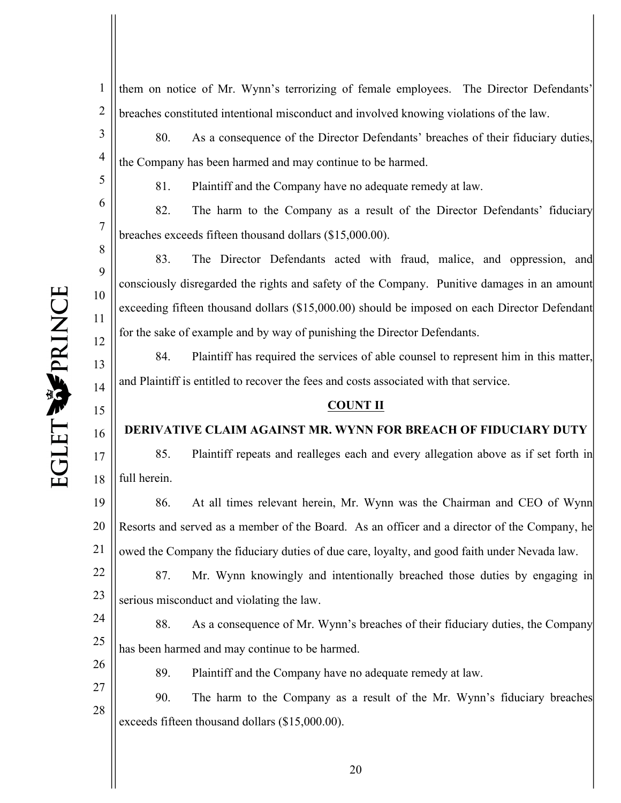4

5

6

7

8

9

10

11

12

13

14

15

16

17

18

1 2 them on notice of Mr. Wynn's terrorizing of female employees. The Director Defendants' breaches constituted intentional misconduct and involved knowing violations of the law.

80. As a consequence of the Director Defendants' breaches of their fiduciary duties, the Company has been harmed and may continue to be harmed.

81. Plaintiff and the Company have no adequate remedy at law.

82. The harm to the Company as a result of the Director Defendants' fiduciary breaches exceeds fifteen thousand dollars (\$15,000.00).

83. The Director Defendants acted with fraud, malice, and oppression, and consciously disregarded the rights and safety of the Company. Punitive damages in an amount exceeding fifteen thousand dollars (\$15,000.00) should be imposed on each Director Defendant for the sake of example and by way of punishing the Director Defendants.

84. Plaintiff has required the services of able counsel to represent him in this matter, and Plaintiff is entitled to recover the fees and costs associated with that service.

#### **COUNT II**

#### **DERIVATIVE CLAIM AGAINST MR. WYNN FOR BREACH OF FIDUCIARY DUTY**

85. Plaintiff repeats and realleges each and every allegation above as if set forth in full herein.

19 20 21 86. At all times relevant herein, Mr. Wynn was the Chairman and CEO of Wynn Resorts and served as a member of the Board. As an officer and a director of the Company, he owed the Company the fiduciary duties of due care, loyalty, and good faith under Nevada law.

22 23 87. Mr. Wynn knowingly and intentionally breached those duties by engaging in serious misconduct and violating the law.

24 25 88. As a consequence of Mr. Wynn's breaches of their fiduciary duties, the Company has been harmed and may continue to be harmed.

26

89. Plaintiff and the Company have no adequate remedy at law.

27 28 90. The harm to the Company as a result of the Mr. Wynn's fiduciary breaches exceeds fifteen thousand dollars (\$15,000.00).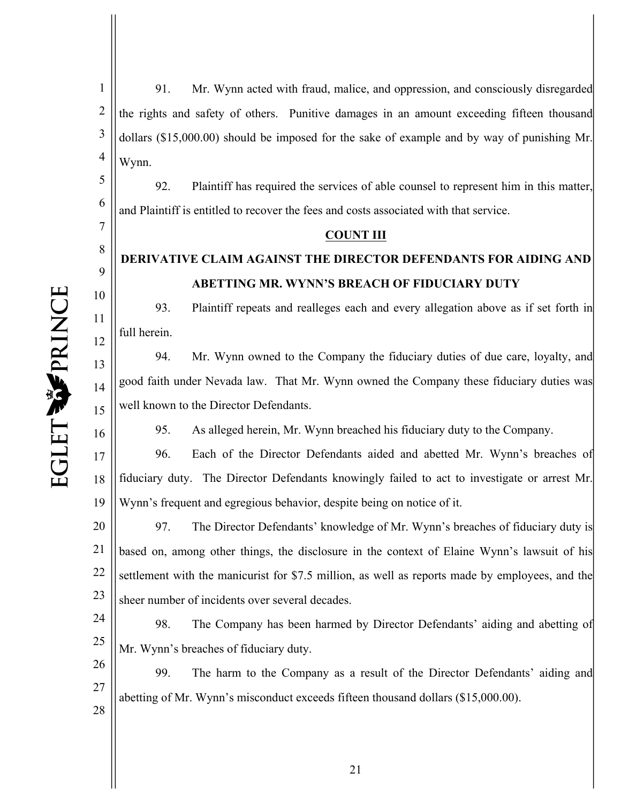6

7

8

9

10

11

12

13

14

15

16

1 2 3 4 91. Mr. Wynn acted with fraud, malice, and oppression, and consciously disregarded the rights and safety of others. Punitive damages in an amount exceeding fifteen thousand dollars (\$15,000.00) should be imposed for the sake of example and by way of punishing Mr. Wynn.

92. Plaintiff has required the services of able counsel to represent him in this matter, and Plaintiff is entitled to recover the fees and costs associated with that service.

#### **COUNT III**

### **DERIVATIVE CLAIM AGAINST THE DIRECTOR DEFENDANTS FOR AIDING AND ABETTING MR. WYNN'S BREACH OF FIDUCIARY DUTY**

93. Plaintiff repeats and realleges each and every allegation above as if set forth in full herein.

94. Mr. Wynn owned to the Company the fiduciary duties of due care, loyalty, and good faith under Nevada law. That Mr. Wynn owned the Company these fiduciary duties was well known to the Director Defendants.

95. As alleged herein, Mr. Wynn breached his fiduciary duty to the Company.

17 18 19 96. Each of the Director Defendants aided and abetted Mr. Wynn's breaches of fiduciary duty. The Director Defendants knowingly failed to act to investigate or arrest Mr. Wynn's frequent and egregious behavior, despite being on notice of it.

20 21 22 23 97. The Director Defendants' knowledge of Mr. Wynn's breaches of fiduciary duty is based on, among other things, the disclosure in the context of Elaine Wynn's lawsuit of his settlement with the manicurist for \$7.5 million, as well as reports made by employees, and the sheer number of incidents over several decades.

24 25 98. The Company has been harmed by Director Defendants' aiding and abetting of Mr. Wynn's breaches of fiduciary duty.

26 27 28 99. The harm to the Company as a result of the Director Defendants' aiding and abetting of Mr. Wynn's misconduct exceeds fifteen thousand dollars (\$15,000.00).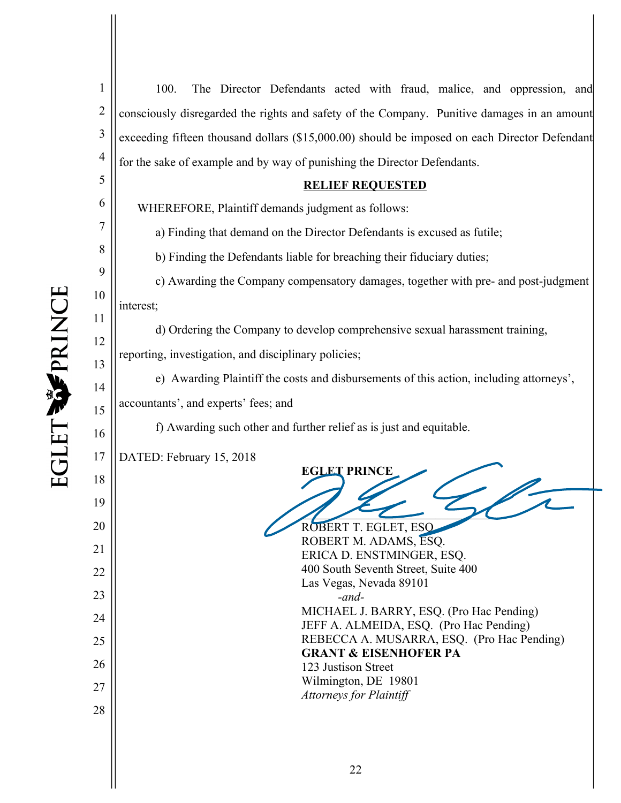2

3

4

5

6

7

8

9

10

11

12

13

14

15

16

18

19

20

21

22

23

24

25

26

27

28

100. The Director Defendants acted with fraud, malice, and oppression, and consciously disregarded the rights and safety of the Company. Punitive damages in an amount exceeding fifteen thousand dollars (\$15,000.00) should be imposed on each Director Defendant for the sake of example and by way of punishing the Director Defendants.

#### **RELIEF REQUESTED**

WHEREFORE, Plaintiff demands judgment as follows:

a) Finding that demand on the Director Defendants is excused as futile;

b) Finding the Defendants liable for breaching their fiduciary duties;

c) Awarding the Company compensatory damages, together with pre- and post-judgment interest;

d) Ordering the Company to develop comprehensive sexual harassment training,

reporting, investigation, and disciplinary policies;

e) Awarding Plaintiff the costs and disbursements of this action, including attorneys', accountants', and experts' fees; and

f) Awarding such other and further relief as is just and equitable.

17 DATED: February 15, 2018

**EGLET PRINCE**   $\frac{1}{2}$ 

ROBERT T. EGLET, ESQ. ROBERT M. ADAMS, ESQ. ERICA D. ENSTMINGER, ESQ. 400 South Seventh Street, Suite 400 Las Vegas, Nevada 89101 *-and-*MICHAEL J. BARRY, ESQ. (Pro Hac Pending) JEFF A. ALMEIDA, ESQ. (Pro Hac Pending) REBECCA A. MUSARRA, ESQ. (Pro Hac Pending) **GRANT & EISENHOFER PA** 123 Justison Street Wilmington, DE 19801

*Attorneys for Plaintiff*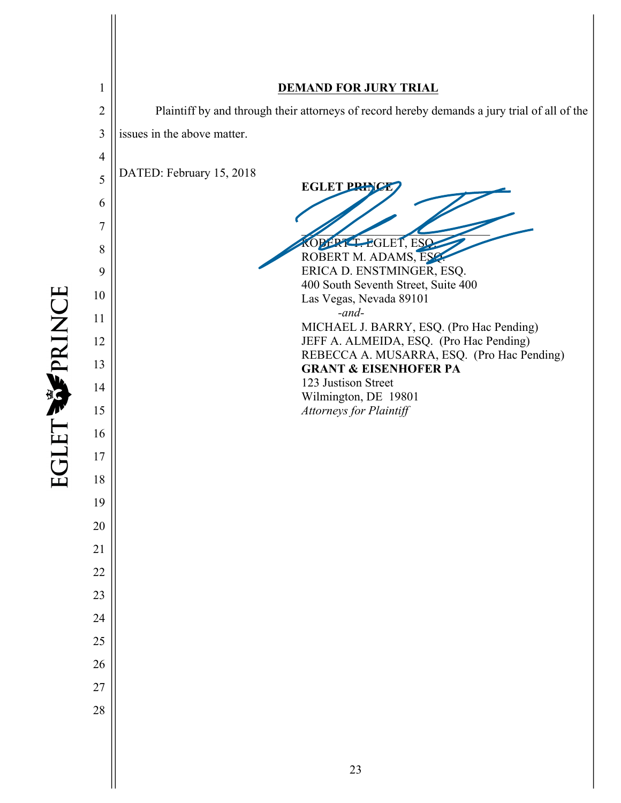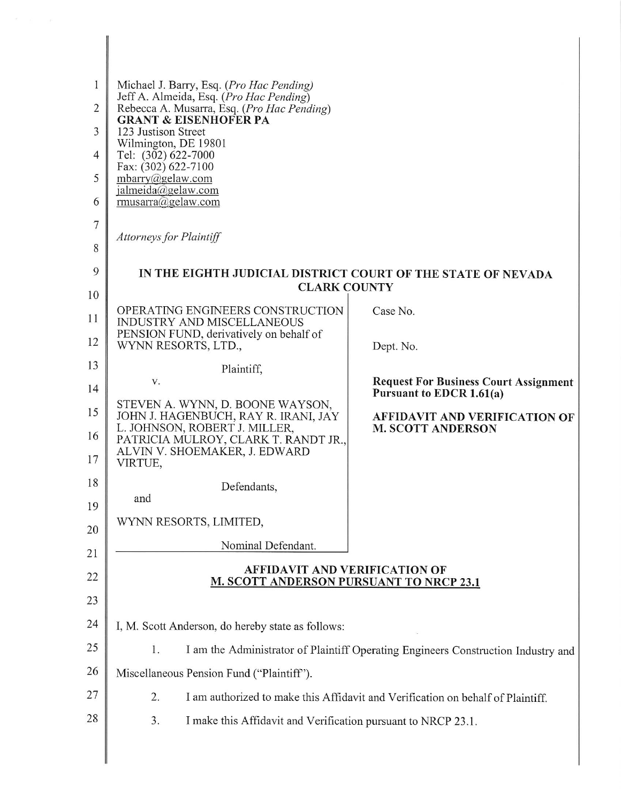| 1<br>$\overline{2}$ | Michael J. Barry, Esq. (Pro Hac Pending)<br>Jeff A. Almeida, Esq. (Pro Hac Pending)     |                                                                          |  |  |  |  |
|---------------------|-----------------------------------------------------------------------------------------|--------------------------------------------------------------------------|--|--|--|--|
|                     | Rebecca A. Musarra, Esq. (Pro Hac Pending)<br><b>GRANT &amp; EISENHOFER PA</b>          |                                                                          |  |  |  |  |
| 3                   | 123 Justison Street<br>Wilmington, DE 19801                                             |                                                                          |  |  |  |  |
| 4                   | Tel: (302) 622-7000<br>Fax: (302) 622-7100                                              |                                                                          |  |  |  |  |
| 5                   | mbarry@gelaw.com<br>jalmeida@gelaw.com                                                  |                                                                          |  |  |  |  |
| 6                   | rmusarra@gelaw.com                                                                      |                                                                          |  |  |  |  |
| 7                   | <b>Attorneys for Plaintiff</b>                                                          |                                                                          |  |  |  |  |
| 8                   |                                                                                         |                                                                          |  |  |  |  |
| 9                   | IN THE EIGHTH JUDICIAL DISTRICT COURT OF THE STATE OF NEVADA                            |                                                                          |  |  |  |  |
| 10                  | <b>CLARK COUNTY</b>                                                                     |                                                                          |  |  |  |  |
| 11                  | OPERATING ENGINEERS CONSTRUCTION<br><b>INDUSTRY AND MISCELLANEOUS</b>                   | Case No.                                                                 |  |  |  |  |
| 12                  | PENSION FUND, derivatively on behalf of<br>WYNN RESORTS, LTD.,                          | Dept. No.                                                                |  |  |  |  |
| 13                  | Plaintiff,                                                                              |                                                                          |  |  |  |  |
| 14                  | V.                                                                                      | <b>Request For Business Court Assignment</b><br>Pursuant to EDCR 1.61(a) |  |  |  |  |
| 15                  | STEVEN A. WYNN, D. BOONE WAYSON,<br>JOHN J. HAGENBUCH, RAY R. IRANI, JAY                | <b>AFFIDAVIT AND VERIFICATION OF</b>                                     |  |  |  |  |
| 16                  | L. JOHNSON, ROBERT J. MILLER,                                                           | <b>M. SCOTT ANDERSON</b>                                                 |  |  |  |  |
| 17                  | PATRICIA MULROY, CLARK T. RANDT JR.,<br>ALVIN V. SHOEMAKER, J. EDWARD                   |                                                                          |  |  |  |  |
| 18                  | VIRTUE,                                                                                 |                                                                          |  |  |  |  |
| 19                  | Defendants,<br>and                                                                      |                                                                          |  |  |  |  |
| 20                  | WYNN RESORTS, LIMITED,                                                                  |                                                                          |  |  |  |  |
| 21                  | Nominal Defendant.                                                                      |                                                                          |  |  |  |  |
| 22                  | <b>AFFIDAVIT AND VERIFICATION OF</b>                                                    |                                                                          |  |  |  |  |
|                     | <b>M. SCOTT ANDERSON PURSUANT TO NRCP 23.1</b>                                          |                                                                          |  |  |  |  |
| 23                  |                                                                                         |                                                                          |  |  |  |  |
| 24                  | I, M. Scott Anderson, do hereby state as follows:                                       |                                                                          |  |  |  |  |
| 25                  | 1.<br>I am the Administrator of Plaintiff Operating Engineers Construction Industry and |                                                                          |  |  |  |  |
| 26                  | Miscellaneous Pension Fund ("Plaintiff").                                               |                                                                          |  |  |  |  |
| 27                  | 2.<br>I am authorized to make this Affidavit and Verification on behalf of Plaintiff.   |                                                                          |  |  |  |  |
| 28                  | 3.<br>I make this Affidavit and Verification pursuant to NRCP 23.1.                     |                                                                          |  |  |  |  |
|                     |                                                                                         |                                                                          |  |  |  |  |

 $\mathbb{I}$